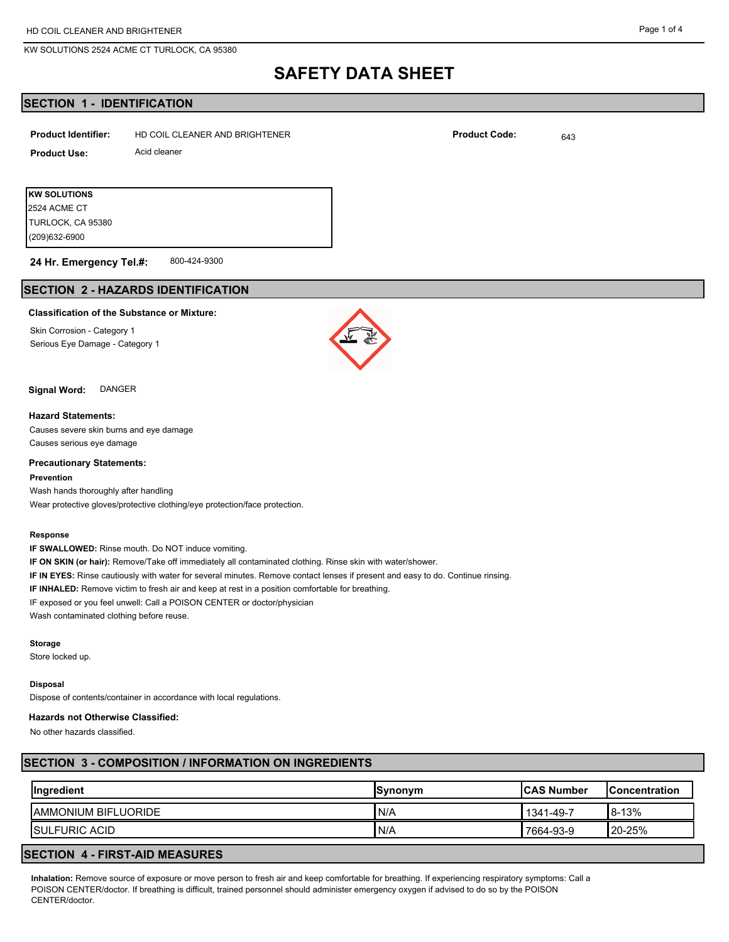## **SAFETY DATA SHEET**

## **SECTION 1 - IDENTIFICATION**

| <b>Product Identifier:</b> | HD COIL CLEANER AND BRIGHTENER |  | <b>Product Code:</b> | 643 |
|----------------------------|--------------------------------|--|----------------------|-----|
| <b>Product Use:</b>        | Acid cleaner                   |  |                      |     |
|                            |                                |  |                      |     |
| KW SOLUTIONS               |                                |  |                      |     |

(209)632-6900

TURLOCK, CA 95380 2524 ACME CT

#### 800-424-9300 **24 Hr. Emergency Tel.#:**

## **SECTION 2 - HAZARDS IDENTIFICATION**

#### **Classification of the Substance or Mixture:**

Skin Corrosion - Category 1 Serious Eye Damage - Category 1



#### **Signal Word:** DANGER

## **Hazard Statements:**

Causes severe skin burns and eye damage Causes serious eye damage

#### **Precautionary Statements:**

#### **Prevention**

Wash hands thoroughly after handling Wear protective gloves/protective clothing/eye protection/face protection.

#### **Response**

**IF SWALLOWED:** Rinse mouth. Do NOT induce vomiting. **IF ON SKIN (or hair):** Remove/Take off immediately all contaminated clothing. Rinse skin with water/shower. **IF IN EYES:** Rinse cautiously with water for several minutes. Remove contact lenses if present and easy to do. Continue rinsing. **IF INHALED:** Remove victim to fresh air and keep at rest in a position comfortable for breathing. IF exposed or you feel unwell: Call a POISON CENTER or doctor/physician Wash contaminated clothing before reuse.

#### **Storage**

Store locked up.

#### **Disposal**

Dispose of contents/container in accordance with local regulations.

#### **Hazards not Otherwise Classified:**

No other hazards classified.

#### **SECTION 3 - COMPOSITION / INFORMATION ON INGREDIENTS**

| Ingredient                  | <b>ISvnonvm</b> | <b>ICAS Number</b> | <b>IConcentration</b> |
|-----------------------------|-----------------|--------------------|-----------------------|
| <b>JAMMONIUM BIFLUORIDE</b> | 'N/A            | 1341-49-7          | 8-13%                 |
| <b>ISULFURIC ACID</b>       | 'N/A            | 7664-93-9          | $120 - 25%$           |

## **SECTION 4 - FIRST-AID MEASURES**

**Inhalation:** Remove source of exposure or move person to fresh air and keep comfortable for breathing. If experiencing respiratory symptoms: Call a POISON CENTER/doctor. If breathing is difficult, trained personnel should administer emergency oxygen if advised to do so by the POISON CENTER/doctor.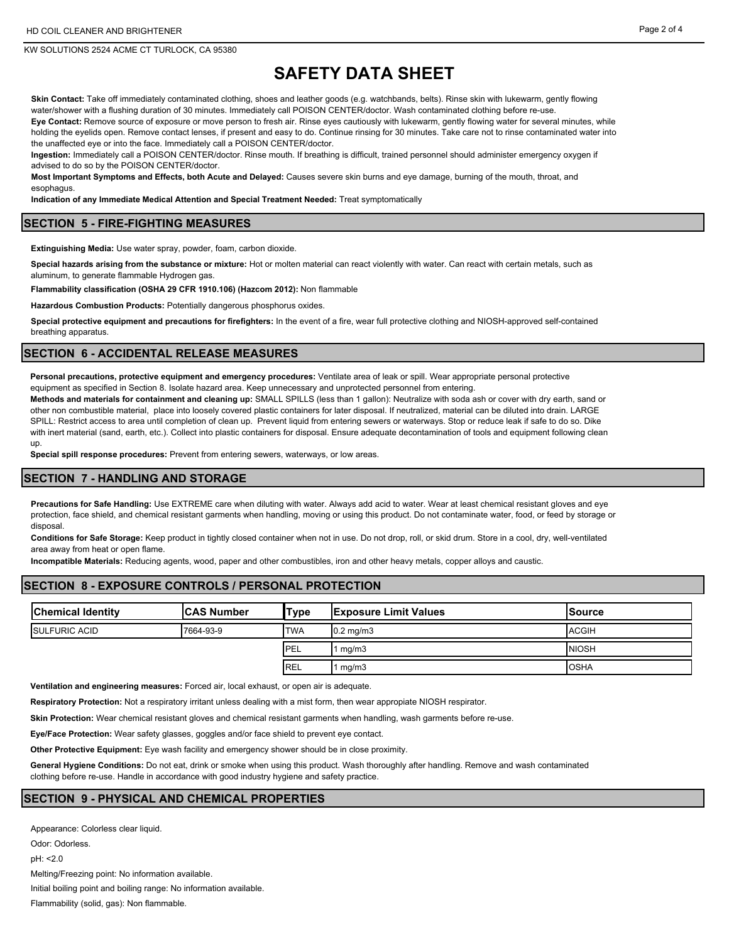# **SAFETY DATA SHEET**

**Skin Contact:** Take off immediately contaminated clothing, shoes and leather goods (e.g. watchbands, belts). Rinse skin with lukewarm, gently flowing water/shower with a flushing duration of 30 minutes. Immediately call POISON CENTER/doctor. Wash contaminated clothing before re-use. **Eye Contact:** Remove source of exposure or move person to fresh air. Rinse eyes cautiously with lukewarm, gently flowing water for several minutes, while holding the eyelids open. Remove contact lenses, if present and easy to do. Continue rinsing for 30 minutes. Take care not to rinse contaminated water into the unaffected eye or into the face. Immediately call a POISON CENTER/doctor.

**Ingestion:** Immediately call a POISON CENTER/doctor. Rinse mouth. If breathing is difficult, trained personnel should administer emergency oxygen if advised to do so by the POISON CENTER/doctor.

**Most Important Symptoms and Effects, both Acute and Delayed:** Causes severe skin burns and eye damage, burning of the mouth, throat, and esophagus.

**Indication of any Immediate Medical Attention and Special Treatment Needed:** Treat symptomatically

#### **SECTION 5 - FIRE-FIGHTING MEASURES**

**Extinguishing Media:** Use water spray, powder, foam, carbon dioxide.

**Special hazards arising from the substance or mixture:** Hot or molten material can react violently with water. Can react with certain metals, such as aluminum, to generate flammable Hydrogen gas.

**Flammability classification (OSHA 29 CFR 1910.106) (Hazcom 2012):** Non flammable

**Hazardous Combustion Products:** Potentially dangerous phosphorus oxides.

**Special protective equipment and precautions for firefighters:** In the event of a fire, wear full protective clothing and NIOSH-approved self-contained breathing apparatus.

#### **SECTION 6 - ACCIDENTAL RELEASE MEASURES**

**Personal precautions, protective equipment and emergency procedures:** Ventilate area of leak or spill. Wear appropriate personal protective equipment as specified in Section 8. Isolate hazard area. Keep unnecessary and unprotected personnel from entering.

**Methods and materials for containment and cleaning up:** SMALL SPILLS (less than 1 gallon): Neutralize with soda ash or cover with dry earth, sand or other non combustible material, place into loosely covered plastic containers for later disposal. If neutralized, material can be diluted into drain. LARGE SPILL: Restrict access to area until completion of clean up. Prevent liquid from entering sewers or waterways. Stop or reduce leak if safe to do so. Dike with inert material (sand, earth, etc.). Collect into plastic containers for disposal. Ensure adequate decontamination of tools and equipment following clean up.

**Special spill response procedures:** Prevent from entering sewers, waterways, or low areas.

#### **SECTION 7 - HANDLING AND STORAGE**

**Precautions for Safe Handling:** Use EXTREME care when diluting with water. Always add acid to water. Wear at least chemical resistant gloves and eye protection, face shield, and chemical resistant garments when handling, moving or using this product. Do not contaminate water, food, or feed by storage or disposal.

**Conditions for Safe Storage:** Keep product in tightly closed container when not in use. Do not drop, roll, or skid drum. Store in a cool, dry, well-ventilated area away from heat or open flame.

**Incompatible Materials:** Reducing agents, wood, paper and other combustibles, iron and other heavy metals, copper alloys and caustic.

## **SECTION 8 - EXPOSURE CONTROLS / PERSONAL PROTECTION**

| <b>Chemical Identity</b> | <b>ICAS Number</b> | 'Type       | <b>Exposure Limit Values</b> | <b>ISource</b> |
|--------------------------|--------------------|-------------|------------------------------|----------------|
| <b>ISULFURIC ACID</b>    | 7664-93-9          | <b>TWA</b>  | $0.2 \text{ mg/m}$ 3         | <b>ACGIH</b>   |
|                          |                    | <b>IPEL</b> | $1 \text{ mg/m}$             | <b>NIOSH</b>   |
|                          |                    | <b>IREL</b> | $1$ mg/m $3$                 | <b>OSHA</b>    |

**Ventilation and engineering measures:** Forced air, local exhaust, or open air is adequate.

**Respiratory Protection:** Not a respiratory irritant unless dealing with a mist form, then wear appropiate NIOSH respirator.

**Skin Protection:** Wear chemical resistant gloves and chemical resistant garments when handling, wash garments before re-use.

**Eye/Face Protection:** Wear safety glasses, goggles and/or face shield to prevent eye contact.

**Other Protective Equipment:** Eye wash facility and emergency shower should be in close proximity.

**General Hygiene Conditions:** Do not eat, drink or smoke when using this product. Wash thoroughly after handling. Remove and wash contaminated clothing before re-use. Handle in accordance with good industry hygiene and safety practice.

#### **SECTION 9 - PHYSICAL AND CHEMICAL PROPERTIES**

Appearance: Colorless clear liquid. Odor: Odorless. pH: <2.0 Melting/Freezing point: No information available. Initial boiling point and boiling range: No information available. Flammability (solid, gas): Non flammable.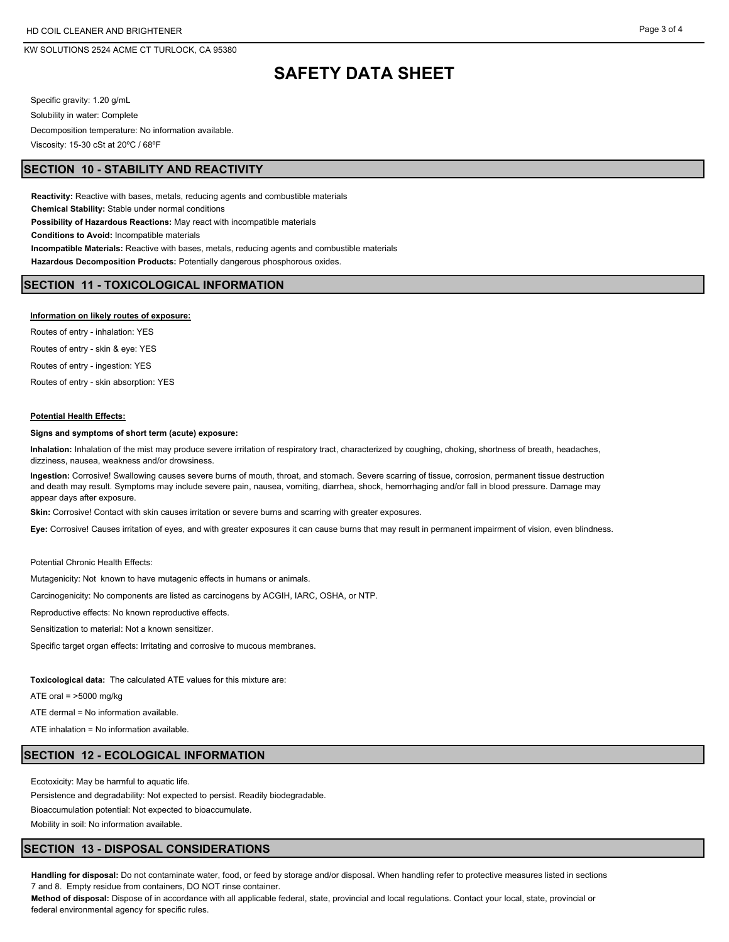## **SAFETY DATA SHEET**

Specific gravity: 1.20 g/mL Solubility in water: Complete Decomposition temperature: No information available. Viscosity: 15-30 cSt at 20ºC / 68ºF

### **SECTION 10 - STABILITY AND REACTIVITY**

**Reactivity:** Reactive with bases, metals, reducing agents and combustible materials **Chemical Stability:** Stable under normal conditions **Possibility of Hazardous Reactions:** May react with incompatible materials **Conditions to Avoid:** Incompatible materials **Incompatible Materials:** Reactive with bases, metals, reducing agents and combustible materials **Hazardous Decomposition Products:** Potentially dangerous phosphorous oxides.

## **SECTION 11 - TOXICOLOGICAL INFORMATION**

#### **Information on likely routes of exposure:**

Routes of entry - inhalation: YES Routes of entry - skin & eye: YES Routes of entry - ingestion: YES

Routes of entry - skin absorption: YES

#### **Potential Health Effects:**

#### **Signs and symptoms of short term (acute) exposure:**

**Inhalation:** Inhalation of the mist may produce severe irritation of respiratory tract, characterized by coughing, choking, shortness of breath, headaches, dizziness, nausea, weakness and/or drowsiness.

**Ingestion:** Corrosive! Swallowing causes severe burns of mouth, throat, and stomach. Severe scarring of tissue, corrosion, permanent tissue destruction and death may result. Symptoms may include severe pain, nausea, vomiting, diarrhea, shock, hemorrhaging and/or fall in blood pressure. Damage may appear days after exposure.

**Skin:** Corrosive! Contact with skin causes irritation or severe burns and scarring with greater exposures.

**Eye:** Corrosive! Causes irritation of eyes, and with greater exposures it can cause burns that may result in permanent impairment of vision, even blindness.

Potential Chronic Health Effects:

Mutagenicity: Not known to have mutagenic effects in humans or animals.

Carcinogenicity: No components are listed as carcinogens by ACGIH, IARC, OSHA, or NTP.

Reproductive effects: No known reproductive effects.

Sensitization to material: Not a known sensitizer.

Specific target organ effects: Irritating and corrosive to mucous membranes.

**Toxicological data:** The calculated ATE values for this mixture are:

ATE oral  $=$  >5000 mg/kg

ATE dermal = No information available.

ATE inhalation = No information available.

#### **SECTION 12 - ECOLOGICAL INFORMATION**

Ecotoxicity: May be harmful to aquatic life.

Persistence and degradability: Not expected to persist. Readily biodegradable.

Bioaccumulation potential: Not expected to bioaccumulate.

Mobility in soil: No information available.

## **SECTION 13 - DISPOSAL CONSIDERATIONS**

**Handling for disposal:** Do not contaminate water, food, or feed by storage and/or disposal. When handling refer to protective measures listed in sections 7 and 8. Empty residue from containers, DO NOT rinse container.

**Method of disposal:** Dispose of in accordance with all applicable federal, state, provincial and local regulations. Contact your local, state, provincial or federal environmental agency for specific rules.